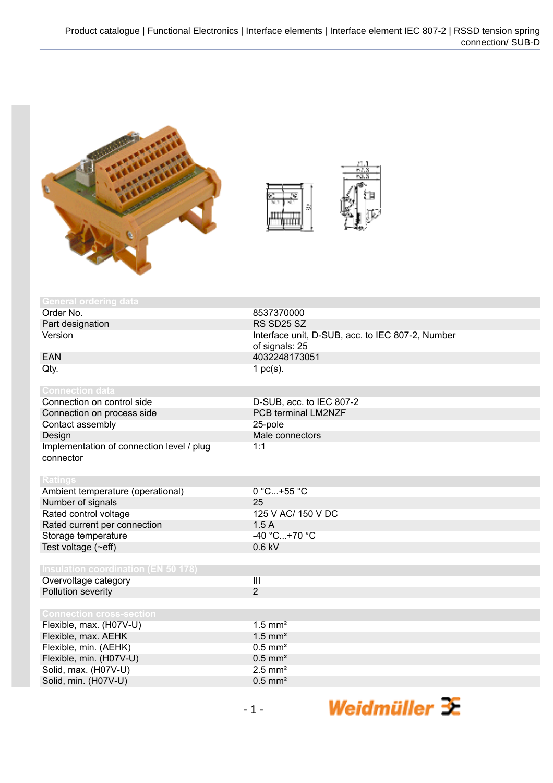



| <b>General ordering data</b>               |                                                  |
|--------------------------------------------|--------------------------------------------------|
| Order No.                                  | 8537370000                                       |
| Part designation                           | RS SD25 SZ                                       |
| Version                                    | Interface unit, D-SUB, acc. to IEC 807-2, Number |
|                                            | of signals: 25                                   |
| <b>EAN</b>                                 | 4032248173051                                    |
| Qty.                                       | 1 $pc(s)$ .                                      |
|                                            |                                                  |
| <b>Connection data</b>                     |                                                  |
| Connection on control side                 | D-SUB, acc. to IEC 807-2                         |
| Connection on process side                 | PCB terminal LM2NZF                              |
| Contact assembly                           | 25-pole                                          |
| Design                                     | Male connectors                                  |
| Implementation of connection level / plug  | 1:1                                              |
| connector                                  |                                                  |
|                                            |                                                  |
| <b>Ratings</b>                             |                                                  |
| Ambient temperature (operational)          | 0 °C+55 °C                                       |
| Number of signals                          | 25                                               |
| Rated control voltage                      | 125 V AC/ 150 V DC                               |
| Rated current per connection               | 1.5A                                             |
| Storage temperature                        | $-40 °C+70 °C$                                   |
| Test voltage (~eff)                        | $0.6$ kV                                         |
|                                            |                                                  |
| <b>Insulation coordination (EN 50 178)</b> |                                                  |
| Overvoltage category                       | $\overline{\mathbf{H}}$                          |
| Pollution severity                         | $\overline{2}$                                   |
|                                            |                                                  |
| <b>Connection cross-section</b>            |                                                  |
| Flexible, max. (H07V-U)                    | $1.5$ mm <sup>2</sup>                            |
| Flexible, max. AEHK                        | $1.5$ mm <sup>2</sup>                            |
| Flexible, min. (AEHK)                      | $0.5$ mm <sup>2</sup>                            |
| Flexible, min. (H07V-U)                    | $0.5$ mm <sup>2</sup>                            |
| Solid, max. (H07V-U)                       | $2.5$ mm <sup>2</sup>                            |
| Solid, min. (H07V-U)                       | $0.5$ mm <sup>2</sup>                            |
|                                            |                                                  |

Weidmüller  $\mathcal{\mathcal{F}}$